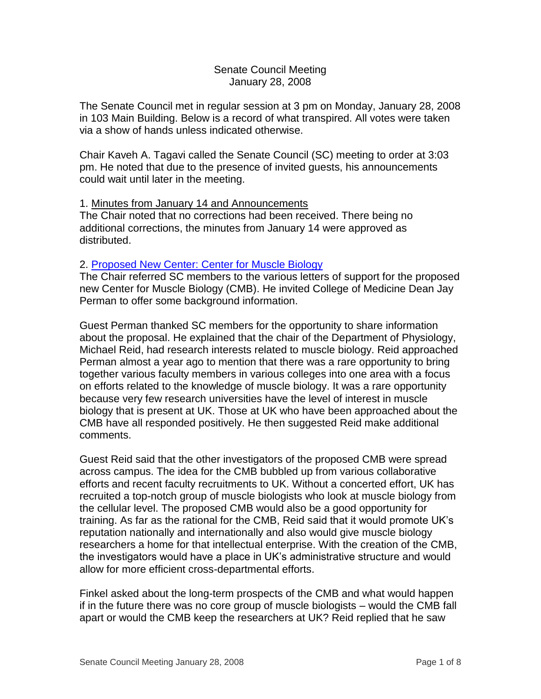## Senate Council Meeting January 28, 2008

The Senate Council met in regular session at 3 pm on Monday, January 28, 2008 in 103 Main Building. Below is a record of what transpired. All votes were taken via a show of hands unless indicated otherwise.

Chair Kaveh A. Tagavi called the Senate Council (SC) meeting to order at 3:03 pm. He noted that due to the presence of invited guests, his announcements could wait until later in the meeting.

## 1. Minutes from January 14 and Announcements

The Chair noted that no corrections had been received. There being no additional corrections, the minutes from January 14 were approved as distributed.

## 2. [Proposed New Center: Center for Muscle Biology](http://www.uky.edu/USC/New/files/20080128/Ctr%20for%20Muscle%20Biology_Complete.pdf)

The Chair referred SC members to the various letters of support for the proposed new Center for Muscle Biology (CMB). He invited College of Medicine Dean Jay Perman to offer some background information.

Guest Perman thanked SC members for the opportunity to share information about the proposal. He explained that the chair of the Department of Physiology, Michael Reid, had research interests related to muscle biology. Reid approached Perman almost a year ago to mention that there was a rare opportunity to bring together various faculty members in various colleges into one area with a focus on efforts related to the knowledge of muscle biology. It was a rare opportunity because very few research universities have the level of interest in muscle biology that is present at UK. Those at UK who have been approached about the CMB have all responded positively. He then suggested Reid make additional comments.

Guest Reid said that the other investigators of the proposed CMB were spread across campus. The idea for the CMB bubbled up from various collaborative efforts and recent faculty recruitments to UK. Without a concerted effort, UK has recruited a top-notch group of muscle biologists who look at muscle biology from the cellular level. The proposed CMB would also be a good opportunity for training. As far as the rational for the CMB, Reid said that it would promote UK's reputation nationally and internationally and also would give muscle biology researchers a home for that intellectual enterprise. With the creation of the CMB, the investigators would have a place in UK's administrative structure and would allow for more efficient cross-departmental efforts.

Finkel asked about the long-term prospects of the CMB and what would happen if in the future there was no core group of muscle biologists – would the CMB fall apart or would the CMB keep the researchers at UK? Reid replied that he saw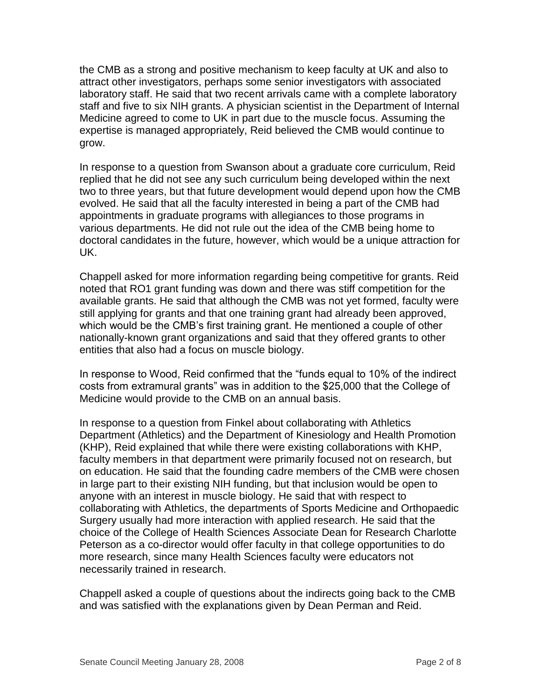the CMB as a strong and positive mechanism to keep faculty at UK and also to attract other investigators, perhaps some senior investigators with associated laboratory staff. He said that two recent arrivals came with a complete laboratory staff and five to six NIH grants. A physician scientist in the Department of Internal Medicine agreed to come to UK in part due to the muscle focus. Assuming the expertise is managed appropriately, Reid believed the CMB would continue to grow.

In response to a question from Swanson about a graduate core curriculum, Reid replied that he did not see any such curriculum being developed within the next two to three years, but that future development would depend upon how the CMB evolved. He said that all the faculty interested in being a part of the CMB had appointments in graduate programs with allegiances to those programs in various departments. He did not rule out the idea of the CMB being home to doctoral candidates in the future, however, which would be a unique attraction for UK.

Chappell asked for more information regarding being competitive for grants. Reid noted that RO1 grant funding was down and there was stiff competition for the available grants. He said that although the CMB was not yet formed, faculty were still applying for grants and that one training grant had already been approved, which would be the CMB's first training grant. He mentioned a couple of other nationally-known grant organizations and said that they offered grants to other entities that also had a focus on muscle biology.

In response to Wood, Reid confirmed that the "funds equal to 10% of the indirect costs from extramural grants" was in addition to the \$25,000 that the College of Medicine would provide to the CMB on an annual basis.

In response to a question from Finkel about collaborating with Athletics Department (Athletics) and the Department of Kinesiology and Health Promotion (KHP), Reid explained that while there were existing collaborations with KHP, faculty members in that department were primarily focused not on research, but on education. He said that the founding cadre members of the CMB were chosen in large part to their existing NIH funding, but that inclusion would be open to anyone with an interest in muscle biology. He said that with respect to collaborating with Athletics, the departments of Sports Medicine and Orthopaedic Surgery usually had more interaction with applied research. He said that the choice of the College of Health Sciences Associate Dean for Research Charlotte Peterson as a co-director would offer faculty in that college opportunities to do more research, since many Health Sciences faculty were educators not necessarily trained in research.

Chappell asked a couple of questions about the indirects going back to the CMB and was satisfied with the explanations given by Dean Perman and Reid.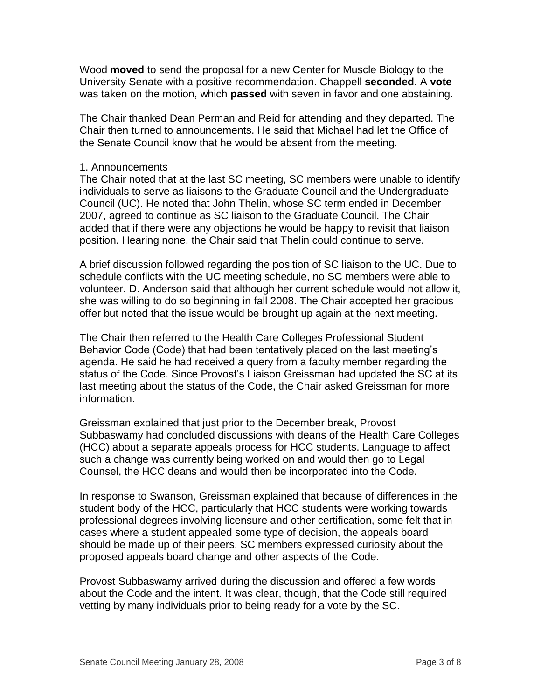Wood **moved** to send the proposal for a new Center for Muscle Biology to the University Senate with a positive recommendation. Chappell **seconded**. A **vote** was taken on the motion, which **passed** with seven in favor and one abstaining.

The Chair thanked Dean Perman and Reid for attending and they departed. The Chair then turned to announcements. He said that Michael had let the Office of the Senate Council know that he would be absent from the meeting.

#### 1. Announcements

The Chair noted that at the last SC meeting, SC members were unable to identify individuals to serve as liaisons to the Graduate Council and the Undergraduate Council (UC). He noted that John Thelin, whose SC term ended in December 2007, agreed to continue as SC liaison to the Graduate Council. The Chair added that if there were any objections he would be happy to revisit that liaison position. Hearing none, the Chair said that Thelin could continue to serve.

A brief discussion followed regarding the position of SC liaison to the UC. Due to schedule conflicts with the UC meeting schedule, no SC members were able to volunteer. D. Anderson said that although her current schedule would not allow it, she was willing to do so beginning in fall 2008. The Chair accepted her gracious offer but noted that the issue would be brought up again at the next meeting.

The Chair then referred to the Health Care Colleges Professional Student Behavior Code (Code) that had been tentatively placed on the last meeting's agenda. He said he had received a query from a faculty member regarding the status of the Code. Since Provost's Liaison Greissman had updated the SC at its last meeting about the status of the Code, the Chair asked Greissman for more information.

Greissman explained that just prior to the December break, Provost Subbaswamy had concluded discussions with deans of the Health Care Colleges (HCC) about a separate appeals process for HCC students. Language to affect such a change was currently being worked on and would then go to Legal Counsel, the HCC deans and would then be incorporated into the Code.

In response to Swanson, Greissman explained that because of differences in the student body of the HCC, particularly that HCC students were working towards professional degrees involving licensure and other certification, some felt that in cases where a student appealed some type of decision, the appeals board should be made up of their peers. SC members expressed curiosity about the proposed appeals board change and other aspects of the Code.

Provost Subbaswamy arrived during the discussion and offered a few words about the Code and the intent. It was clear, though, that the Code still required vetting by many individuals prior to being ready for a vote by the SC.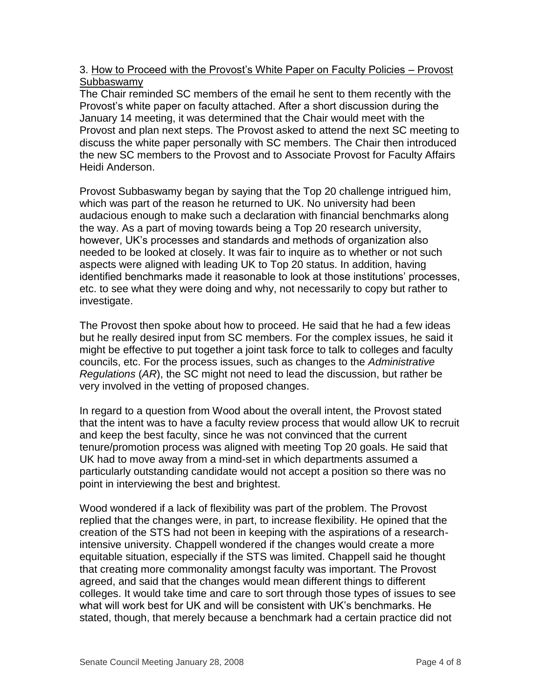# 3. How to Proceed with the Provost's White Paper on Faculty Policies – Provost Subbaswamy

The Chair reminded SC members of the email he sent to them recently with the Provost's white paper on faculty attached. After a short discussion during the January 14 meeting, it was determined that the Chair would meet with the Provost and plan next steps. The Provost asked to attend the next SC meeting to discuss the white paper personally with SC members. The Chair then introduced the new SC members to the Provost and to Associate Provost for Faculty Affairs Heidi Anderson.

Provost Subbaswamy began by saying that the Top 20 challenge intrigued him, which was part of the reason he returned to UK. No university had been audacious enough to make such a declaration with financial benchmarks along the way. As a part of moving towards being a Top 20 research university, however, UK's processes and standards and methods of organization also needed to be looked at closely. It was fair to inquire as to whether or not such aspects were aligned with leading UK to Top 20 status. In addition, having identified benchmarks made it reasonable to look at those institutions' processes, etc. to see what they were doing and why, not necessarily to copy but rather to investigate.

The Provost then spoke about how to proceed. He said that he had a few ideas but he really desired input from SC members. For the complex issues, he said it might be effective to put together a joint task force to talk to colleges and faculty councils, etc. For the process issues, such as changes to the *Administrative Regulations* (*AR*), the SC might not need to lead the discussion, but rather be very involved in the vetting of proposed changes.

In regard to a question from Wood about the overall intent, the Provost stated that the intent was to have a faculty review process that would allow UK to recruit and keep the best faculty, since he was not convinced that the current tenure/promotion process was aligned with meeting Top 20 goals. He said that UK had to move away from a mind-set in which departments assumed a particularly outstanding candidate would not accept a position so there was no point in interviewing the best and brightest.

Wood wondered if a lack of flexibility was part of the problem. The Provost replied that the changes were, in part, to increase flexibility. He opined that the creation of the STS had not been in keeping with the aspirations of a researchintensive university. Chappell wondered if the changes would create a more equitable situation, especially if the STS was limited. Chappell said he thought that creating more commonality amongst faculty was important. The Provost agreed, and said that the changes would mean different things to different colleges. It would take time and care to sort through those types of issues to see what will work best for UK and will be consistent with UK's benchmarks. He stated, though, that merely because a benchmark had a certain practice did not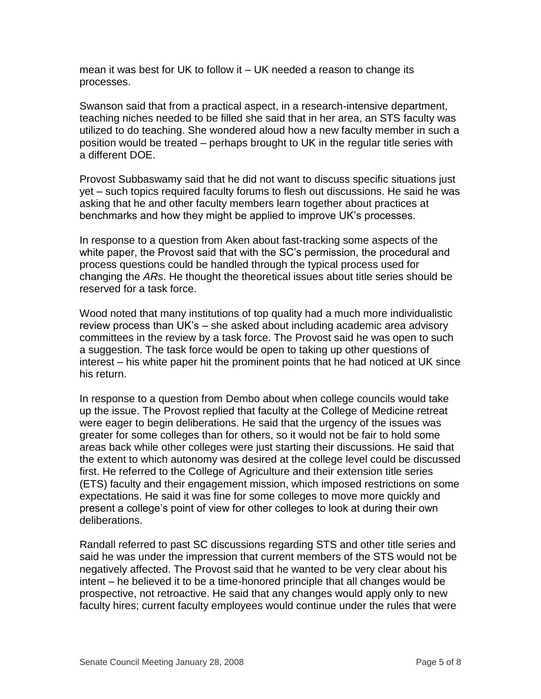mean it was best for UK to follow it – UK needed a reason to change its processes.

Swanson said that from a practical aspect, in a research-intensive department, teaching niches needed to be filled she said that in her area, an STS faculty was utilized to do teaching. She wondered aloud how a new faculty member in such a position would be treated – perhaps brought to UK in the regular title series with a different DOE.

Provost Subbaswamy said that he did not want to discuss specific situations just yet – such topics required faculty forums to flesh out discussions. He said he was asking that he and other faculty members learn together about practices at benchmarks and how they might be applied to improve UK's processes.

In response to a question from Aken about fast-tracking some aspects of the white paper, the Provost said that with the SC's permission, the procedural and process questions could be handled through the typical process used for changing the *ARs*. He thought the theoretical issues about title series should be reserved for a task force.

Wood noted that many institutions of top quality had a much more individualistic review process than UK's – she asked about including academic area advisory committees in the review by a task force. The Provost said he was open to such a suggestion. The task force would be open to taking up other questions of interest – his white paper hit the prominent points that he had noticed at UK since his return.

In response to a question from Dembo about when college councils would take up the issue. The Provost replied that faculty at the College of Medicine retreat were eager to begin deliberations. He said that the urgency of the issues was greater for some colleges than for others, so it would not be fair to hold some areas back while other colleges were just starting their discussions. He said that the extent to which autonomy was desired at the college level could be discussed first. He referred to the College of Agriculture and their extension title series (ETS) faculty and their engagement mission, which imposed restrictions on some expectations. He said it was fine for some colleges to move more quickly and present a college's point of view for other colleges to look at during their own deliberations.

Randall referred to past SC discussions regarding STS and other title series and said he was under the impression that current members of the STS would not be negatively affected. The Provost said that he wanted to be very clear about his intent – he believed it to be a time-honored principle that all changes would be prospective, not retroactive. He said that any changes would apply only to new faculty hires; current faculty employees would continue under the rules that were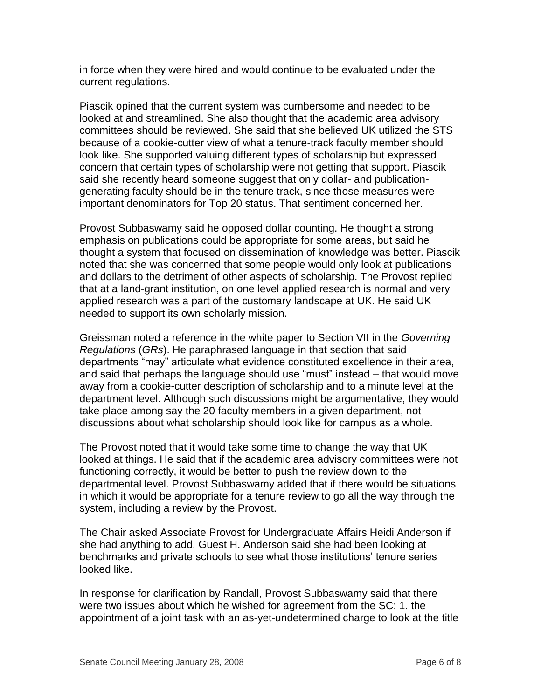in force when they were hired and would continue to be evaluated under the current regulations.

Piascik opined that the current system was cumbersome and needed to be looked at and streamlined. She also thought that the academic area advisory committees should be reviewed. She said that she believed UK utilized the STS because of a cookie-cutter view of what a tenure-track faculty member should look like. She supported valuing different types of scholarship but expressed concern that certain types of scholarship were not getting that support. Piascik said she recently heard someone suggest that only dollar- and publicationgenerating faculty should be in the tenure track, since those measures were important denominators for Top 20 status. That sentiment concerned her.

Provost Subbaswamy said he opposed dollar counting. He thought a strong emphasis on publications could be appropriate for some areas, but said he thought a system that focused on dissemination of knowledge was better. Piascik noted that she was concerned that some people would only look at publications and dollars to the detriment of other aspects of scholarship. The Provost replied that at a land-grant institution, on one level applied research is normal and very applied research was a part of the customary landscape at UK. He said UK needed to support its own scholarly mission.

Greissman noted a reference in the white paper to Section VII in the *Governing Regulations* (*GRs*). He paraphrased language in that section that said departments "may" articulate what evidence constituted excellence in their area, and said that perhaps the language should use "must" instead – that would move away from a cookie-cutter description of scholarship and to a minute level at the department level. Although such discussions might be argumentative, they would take place among say the 20 faculty members in a given department, not discussions about what scholarship should look like for campus as a whole.

The Provost noted that it would take some time to change the way that UK looked at things. He said that if the academic area advisory committees were not functioning correctly, it would be better to push the review down to the departmental level. Provost Subbaswamy added that if there would be situations in which it would be appropriate for a tenure review to go all the way through the system, including a review by the Provost.

The Chair asked Associate Provost for Undergraduate Affairs Heidi Anderson if she had anything to add. Guest H. Anderson said she had been looking at benchmarks and private schools to see what those institutions' tenure series looked like.

In response for clarification by Randall, Provost Subbaswamy said that there were two issues about which he wished for agreement from the SC: 1. the appointment of a joint task with an as-yet-undetermined charge to look at the title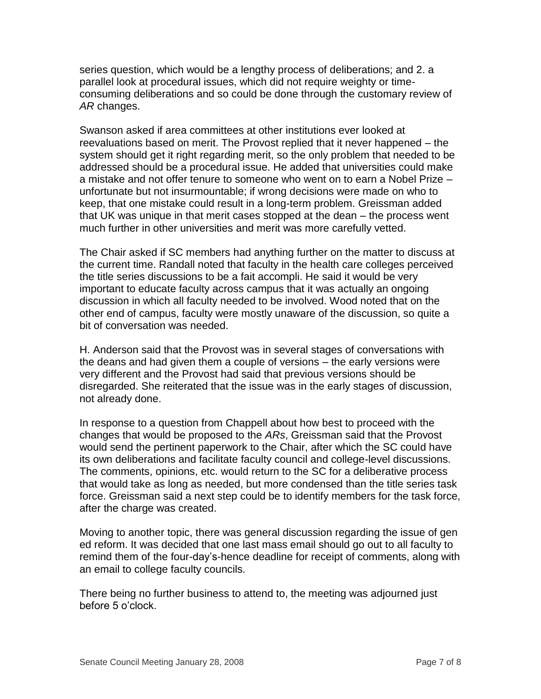series question, which would be a lengthy process of deliberations; and 2. a parallel look at procedural issues, which did not require weighty or timeconsuming deliberations and so could be done through the customary review of *AR* changes.

Swanson asked if area committees at other institutions ever looked at reevaluations based on merit. The Provost replied that it never happened – the system should get it right regarding merit, so the only problem that needed to be addressed should be a procedural issue. He added that universities could make a mistake and not offer tenure to someone who went on to earn a Nobel Prize – unfortunate but not insurmountable; if wrong decisions were made on who to keep, that one mistake could result in a long-term problem. Greissman added that UK was unique in that merit cases stopped at the dean – the process went much further in other universities and merit was more carefully vetted.

The Chair asked if SC members had anything further on the matter to discuss at the current time. Randall noted that faculty in the health care colleges perceived the title series discussions to be a fait accompli. He said it would be very important to educate faculty across campus that it was actually an ongoing discussion in which all faculty needed to be involved. Wood noted that on the other end of campus, faculty were mostly unaware of the discussion, so quite a bit of conversation was needed.

H. Anderson said that the Provost was in several stages of conversations with the deans and had given them a couple of versions – the early versions were very different and the Provost had said that previous versions should be disregarded. She reiterated that the issue was in the early stages of discussion, not already done.

In response to a question from Chappell about how best to proceed with the changes that would be proposed to the *ARs*, Greissman said that the Provost would send the pertinent paperwork to the Chair, after which the SC could have its own deliberations and facilitate faculty council and college-level discussions. The comments, opinions, etc. would return to the SC for a deliberative process that would take as long as needed, but more condensed than the title series task force. Greissman said a next step could be to identify members for the task force, after the charge was created.

Moving to another topic, there was general discussion regarding the issue of gen ed reform. It was decided that one last mass email should go out to all faculty to remind them of the four-day's-hence deadline for receipt of comments, along with an email to college faculty councils.

There being no further business to attend to, the meeting was adjourned just before 5 o'clock.